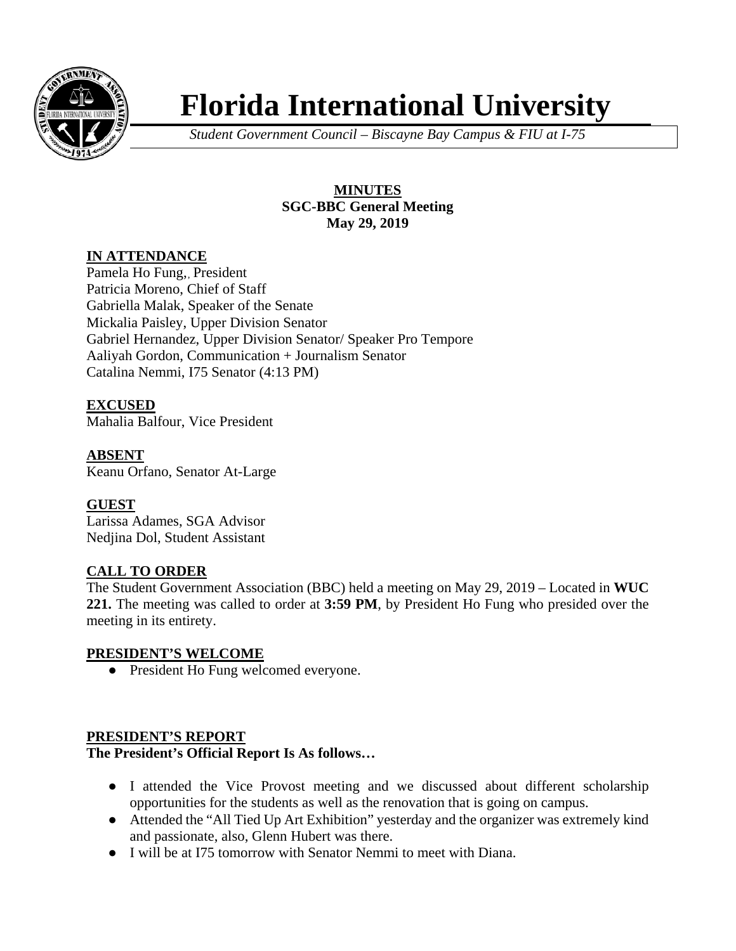

# **Florida International University**

*Student Government Council – Biscayne Bay Campus & FIU at I-75*

## **MINUTES SGC-BBC General Meeting May 29, 2019**

## **IN ATTENDANCE**

Pamela Ho Fung,, President Patricia Moreno, Chief of Staff Gabriella Malak, Speaker of the Senate Mickalia Paisley, Upper Division Senator Gabriel Hernandez, Upper Division Senator/ Speaker Pro Tempore Aaliyah Gordon, Communication + Journalism Senator Catalina Nemmi, I75 Senator (4:13 PM)

**EXCUSED** Mahalia Balfour, Vice President

**ABSENT** Keanu Orfano, Senator At-Large

## **GUEST**

Larissa Adames, SGA Advisor Nedjina Dol, Student Assistant

# **CALL TO ORDER**

The Student Government Association (BBC) held a meeting on May 29, 2019 – Located in **WUC 221.** The meeting was called to order at **3:59 PM**, by President Ho Fung who presided over the meeting in its entirety.

## **PRESIDENT'S WELCOME**

● President Ho Fung welcomed everyone.

## **PRESIDENT'S REPORT**

## **The President's Official Report Is As follows…**

- I attended the Vice Provost meeting and we discussed about different scholarship opportunities for the students as well as the renovation that is going on campus.
- Attended the "All Tied Up Art Exhibition" yesterday and the organizer was extremely kind and passionate, also, Glenn Hubert was there.
- I will be at I75 tomorrow with Senator Nemmi to meet with Diana.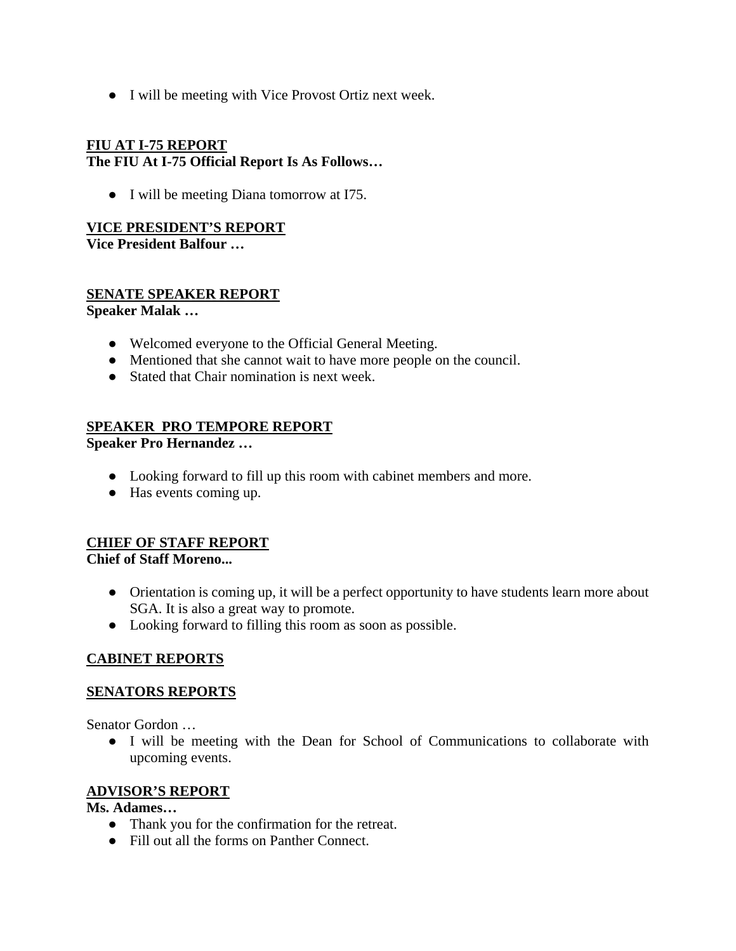● I will be meeting with Vice Provost Ortiz next week.

## **FIU AT I-75 REPORT The FIU At I-75 Official Report Is As Follows…**

● I will be meeting Diana tomorrow at I75.

## **VICE PRESIDENT'S REPORT**

**Vice President Balfour …** 

## **SENATE SPEAKER REPORT**

**Speaker Malak …** 

- Welcomed everyone to the Official General Meeting.
- Mentioned that she cannot wait to have more people on the council.
- Stated that Chair nomination is next week.

## **SPEAKER PRO TEMPORE REPORT**

**Speaker Pro Hernandez …** 

- Looking forward to fill up this room with cabinet members and more.
- Has events coming up.

# **CHIEF OF STAFF REPORT**

**Chief of Staff Moreno...**

- Orientation is coming up, it will be a perfect opportunity to have students learn more about SGA. It is also a great way to promote.
- Looking forward to filling this room as soon as possible.

## **CABINET REPORTS**

#### **SENATORS REPORTS**

Senator Gordon …

● I will be meeting with the Dean for School of Communications to collaborate with upcoming events.

#### **ADVISOR'S REPORT**

#### **Ms. Adames…**

- Thank you for the confirmation for the retreat.
- Fill out all the forms on Panther Connect.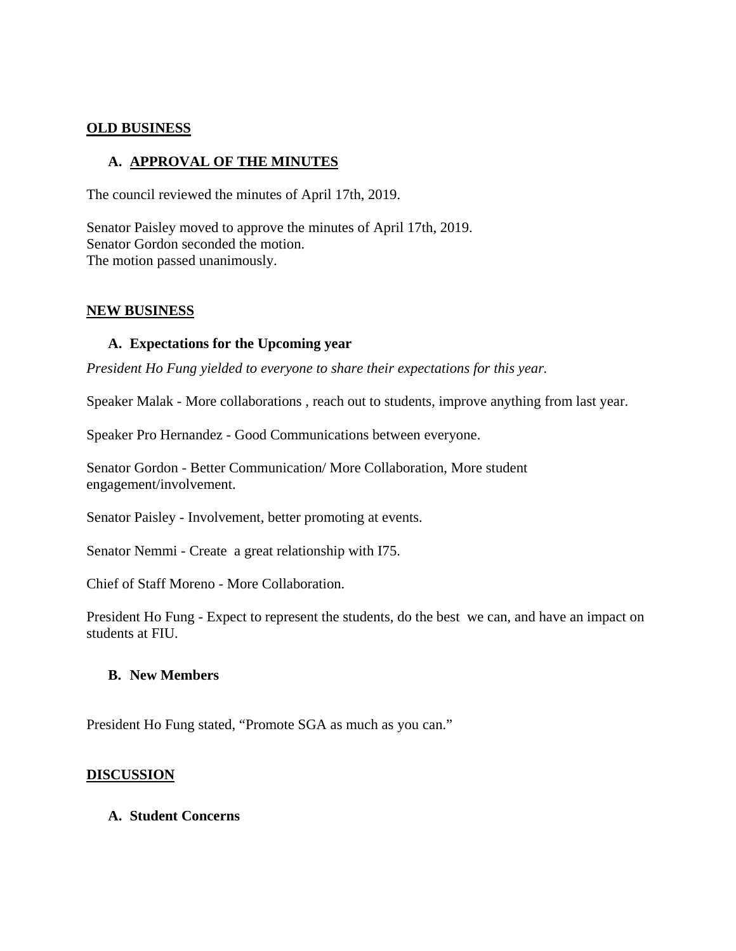#### **OLD BUSINESS**

## **A. APPROVAL OF THE MINUTES**

The council reviewed the minutes of April 17th, 2019.

Senator Paisley moved to approve the minutes of April 17th, 2019. Senator Gordon seconded the motion. The motion passed unanimously.

#### **NEW BUSINESS**

#### **A. Expectations for the Upcoming year**

*President Ho Fung yielded to everyone to share their expectations for this year.*

Speaker Malak - More collaborations , reach out to students, improve anything from last year.

Speaker Pro Hernandez - Good Communications between everyone.

Senator Gordon - Better Communication/ More Collaboration, More student engagement/involvement.

Senator Paisley - Involvement, better promoting at events.

Senator Nemmi - Create a great relationship with I75.

Chief of Staff Moreno - More Collaboration.

President Ho Fung - Expect to represent the students, do the best we can, and have an impact on students at FIU.

#### **B. New Members**

President Ho Fung stated, "Promote SGA as much as you can."

#### **DISCUSSION**

#### **A. Student Concerns**